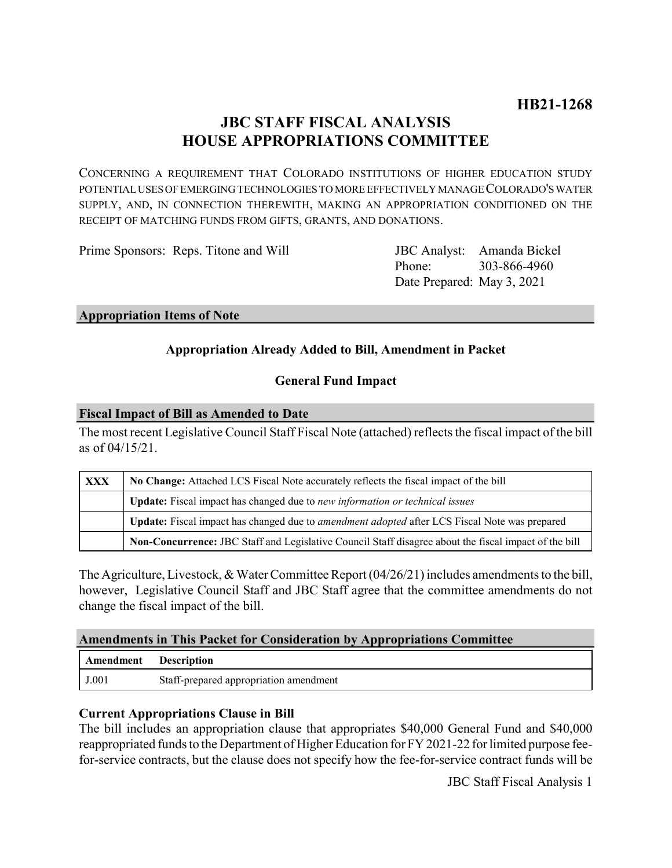# **JBC STAFF FISCAL ANALYSIS HOUSE APPROPRIATIONS COMMITTEE**

CONCERNING A REQUIREMENT THAT COLORADO INSTITUTIONS OF HIGHER EDUCATION STUDY POTENTIAL USES OF EMERGING TECHNOLOGIES TO MORE EFFECTIVELY MANAGE COLORADO'S WATER SUPPLY, AND, IN CONNECTION THEREWITH, MAKING AN APPROPRIATION CONDITIONED ON THE RECEIPT OF MATCHING FUNDS FROM GIFTS, GRANTS, AND DONATIONS.

Prime Sponsors: Reps. Titone and Will

Phone: Date Prepared: May 3, 2021 JBC Analyst: Amanda Bickel 303-866-4960

#### **Appropriation Items of Note**

# **Appropriation Already Added to Bill, Amendment in Packet**

# **General Fund Impact**

#### **Fiscal Impact of Bill as Amended to Date**

The most recent Legislative Council Staff Fiscal Note (attached) reflects the fiscal impact of the bill as of 04/15/21.

| <b>XXX</b> | No Change: Attached LCS Fiscal Note accurately reflects the fiscal impact of the bill                 |
|------------|-------------------------------------------------------------------------------------------------------|
|            | <b>Update:</b> Fiscal impact has changed due to new information or technical issues                   |
|            | Update: Fiscal impact has changed due to <i>amendment adopted</i> after LCS Fiscal Note was prepared  |
|            | Non-Concurrence: JBC Staff and Legislative Council Staff disagree about the fiscal impact of the bill |

The Agriculture, Livestock, & Water Committee Report (04/26/21) includes amendments to the bill, however, Legislative Council Staff and JBC Staff agree that the committee amendments do not change the fiscal impact of the bill.

#### **Amendments in This Packet for Consideration by Appropriations Committee**

| Amendment | <b>Description</b>                     |
|-----------|----------------------------------------|
| J.001     | Staff-prepared appropriation amendment |

# **Current Appropriations Clause in Bill**

The bill includes an appropriation clause that appropriates \$40,000 General Fund and \$40,000 reappropriated funds to the Department of Higher Education for FY 2021-22 for limited purpose feefor-service contracts, but the clause does not specify how the fee-for-service contract funds will be